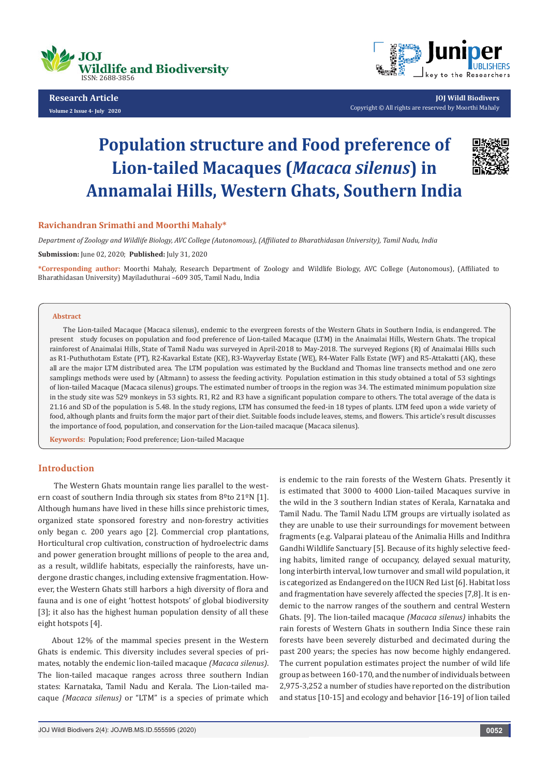

**Research Article Volume 2 Issue 4- July 2020**



**JOJ Wildl Biodivers** Copyright © All rights are reserved by Moorthi Mahaly

# **Population structure and Food preference of Lion-tailed Macaques (***Macaca silenus***) in Annamalai Hills, Western Ghats, Southern India**



*Department of Zoology and Wildlife Biology, AVC College (Autonomous), (Affiliated to Bharathidasan University), Tamil Nadu, India*

**Submission:** June 02, 2020; **Published:** July 31, 2020

**\*Corresponding author:** Moorthi Mahaly, Research Department of Zoology and Wildlife Biology, AVC College (Autonomous), (Affiliated to Bharathidasan University) Mayiladuthurai –609 305, Tamil Nadu, India

#### **Abstract**

The Lion-tailed Macaque (Macaca silenus), endemic to the evergreen forests of the Western Ghats in Southern India, is endangered. The present study focuses on population and food preference of Lion-tailed Macaque (LTM) in the Anaimalai Hills, Western Ghats. The tropical rainforest of Anaimalai Hills, State of Tamil Nadu was surveyed in April-2018 to May-2018. The surveyed Regions (R) of Anaimalai Hills such as R1-Puthuthotam Estate (PT), R2-Kavarkal Estate (KE), R3-Wayverlay Estate (WE), R4-Water Falls Estate (WF) and R5-Attakatti (AK), these all are the major LTM distributed area. The LTM population was estimated by the Buckland and Thomas line transects method and one zero samplings methods were used by (Altmann) to assess the feeding activity. Population estimation in this study obtained a total of 53 sightings of lion-tailed Macaque (Macaca silenus) groups. The estimated number of troops in the region was 34. The estimated minimum population size in the study site was 529 monkeys in 53 sights. R1, R2 and R3 have a significant population compare to others. The total average of the data is 21.16 and SD of the population is 5.48. In the study regions, LTM has consumed the feed-in 18 types of plants. LTM feed upon a wide variety of food, although plants and fruits form the major part of their diet. Suitable foods include leaves, stems, and flowers. This article's result discusses the importance of food, population, and conservation for the Lion-tailed macaque (Macaca silenus).

**Keywords:** Population; Food preference; Lion-tailed Macaque

# **Introduction**

 The Western Ghats mountain range lies parallel to the western coast of southern India through six states from 8<sup>o</sup>to 21<sup>o</sup>N [1]. Although humans have lived in these hills since prehistoric times, organized state sponsored forestry and non-forestry activities only began c. 200 years ago [2]. Commercial crop plantations, Horticultural crop cultivation, construction of hydroelectric dams and power generation brought millions of people to the area and, as a result, wildlife habitats, especially the rainforests, have undergone drastic changes, including extensive fragmentation. However, the Western Ghats still harbors a high diversity of flora and fauna and is one of eight 'hottest hotspots' of global biodiversity [3]; it also has the highest human population density of all these eight hotspots [4].

About 12% of the mammal species present in the Western Ghats is endemic. This diversity includes several species of primates, notably the endemic lion-tailed macaque *(Macaca silenus)*. The lion-tailed macaque ranges across three southern Indian states: Karnataka, Tamil Nadu and Kerala. The Lion-tailed macaque *(Macaca silenus)* or "LTM" is a species of primate which

is endemic to the rain forests of the Western Ghats. Presently it is estimated that 3000 to 4000 Lion-tailed Macaques survive in the wild in the 3 southern Indian states of Kerala, Karnataka and Tamil Nadu. The Tamil Nadu LTM groups are virtually isolated as they are unable to use their surroundings for movement between fragments (e.g. Valparai plateau of the Animalia Hills and Indithra Gandhi Wildlife Sanctuary [5]. Because of its highly selective feeding habits, limited range of occupancy, delayed sexual maturity, long interbirth interval, low turnover and small wild population, it is categorized as Endangered on the IUCN Red List [6]. Habitat loss and fragmentation have severely affected the species [7,8]. It is endemic to the narrow ranges of the southern and central Western Ghats. [9]. The lion-tailed macaque *(Macaca silenus)* inhabits the rain forests of Western Ghats in southern India Since these rain forests have been severely disturbed and decimated during the past 200 years; the species has now become highly endangered. The current population estimates project the number of wild life group as between 160-170, and the number of individuals between 2,975-3,252 a number of studies have reported on the distribution and status [10-15] and ecology and behavior [16-19] of lion tailed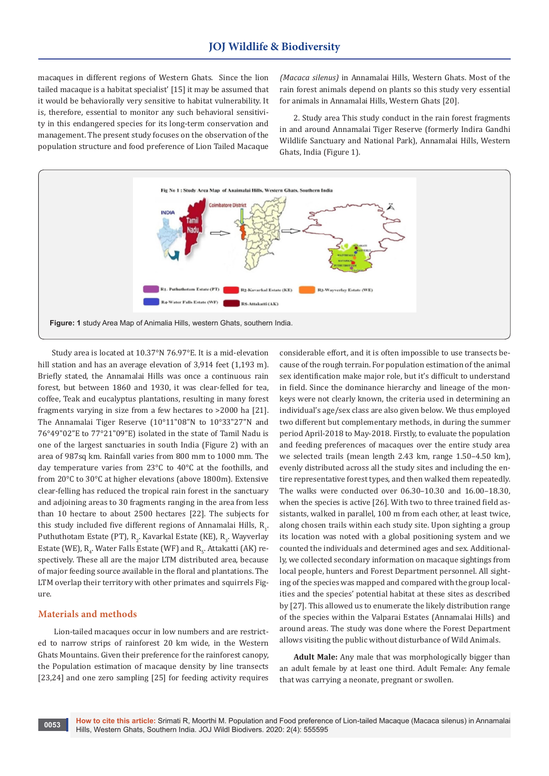macaques in different regions of Western Ghats. Since the lion tailed macaque is a habitat specialist' [15] it may be assumed that it would be behaviorally very sensitive to habitat vulnerability. It is, therefore, essential to monitor any such behavioral sensitivity in this endangered species for its long-term conservation and management. The present study focuses on the observation of the population structure and food preference of Lion Tailed Macaque

*(Macaca silenus)* in Annamalai Hills, Western Ghats. Most of the rain forest animals depend on plants so this study very essential for animals in Annamalai Hills, Western Ghats [20].

2. Study area This study conduct in the rain forest fragments in and around Annamalai Tiger Reserve (formerly Indira Gandhi Wildlife Sanctuary and National Park), Annamalai Hills, Western Ghats, India (Figure 1).



Study area is located at 10.37°N 76.97°E. It is a mid-elevation hill station and has an average elevation of 3,914 feet (1,193 m). Briefly stated, the Annamalai Hills was once a continuous rain forest, but between 1860 and 1930, it was clear-felled for tea, coffee, Teak and eucalyptus plantations, resulting in many forest fragments varying in size from a few hectares to >2000 ha [21]. The Annamalai Tiger Reserve (10°11"08"N to 10°33"27"N and 76°49"02"E to 77°21"09"E) isolated in the state of Tamil Nadu is one of the largest sanctuaries in south India (Figure 2) with an area of 987sq km. Rainfall varies from 800 mm to 1000 mm. The day temperature varies from 23°C to 40°C at the foothills, and from 20°C to 30°C at higher elevations (above 1800m). Extensive clear-felling has reduced the tropical rain forest in the sanctuary and adjoining areas to 30 fragments ranging in the area from less than 10 hectare to about 2500 hectares [22]. The subjects for this study included five different regions of Annamalai Hills,  $\mathtt{R}_\mathtt{l}$ . Puthuthotam Estate (PT),  $R_2$ . Kavarkal Estate (KE),  $R_3$ . Wayverlay Estate (WE),  $\mathsf{R}_{\scriptscriptstyle{4}}$ . Water Falls Estate (WF) and  $\mathsf{R}_{\scriptscriptstyle{5}}$ . Attakatti (AK) respectively. These all are the major LTM distributed area, because of major feeding source available in the floral and plantations. The LTM overlap their territory with other primates and squirrels Figure.

## **Materials and methods**

 Lion-tailed macaques occur in low numbers and are restricted to narrow strips of rainforest 20 km wide, in the Western Ghats Mountains. Given their preference for the rainforest canopy, the Population estimation of macaque density by line transects [23,24] and one zero sampling [25] for feeding activity requires

considerable effort, and it is often impossible to use transects because of the rough terrain. For population estimation of the animal sex identification make major role, but it's difficult to understand in field. Since the dominance hierarchy and lineage of the monkeys were not clearly known, the criteria used in determining an individual's age/sex class are also given below. We thus employed two different but complementary methods, in during the summer period April-2018 to May-2018. Firstly, to evaluate the population and feeding preferences of macaques over the entire study area we selected trails (mean length 2.43 km, range 1.50–4.50 km), evenly distributed across all the study sites and including the entire representative forest types, and then walked them repeatedly. The walks were conducted over 06.30–10.30 and 16.00–18.30, when the species is active [26]. With two to three trained field assistants, walked in parallel, 100 m from each other, at least twice, along chosen trails within each study site. Upon sighting a group its location was noted with a global positioning system and we counted the individuals and determined ages and sex. Additionally, we collected secondary information on macaque sightings from local people, hunters and Forest Department personnel. All sighting of the species was mapped and compared with the group localities and the species' potential habitat at these sites as described by [27]. This allowed us to enumerate the likely distribution range of the species within the Valparai Estates (Annamalai Hills) and around areas. The study was done where the Forest Department allows visiting the public without disturbance of Wild Animals.

**Adult Male:** Any male that was morphologically bigger than an adult female by at least one third. Adult Female: Any female that was carrying a neonate, pregnant or swollen.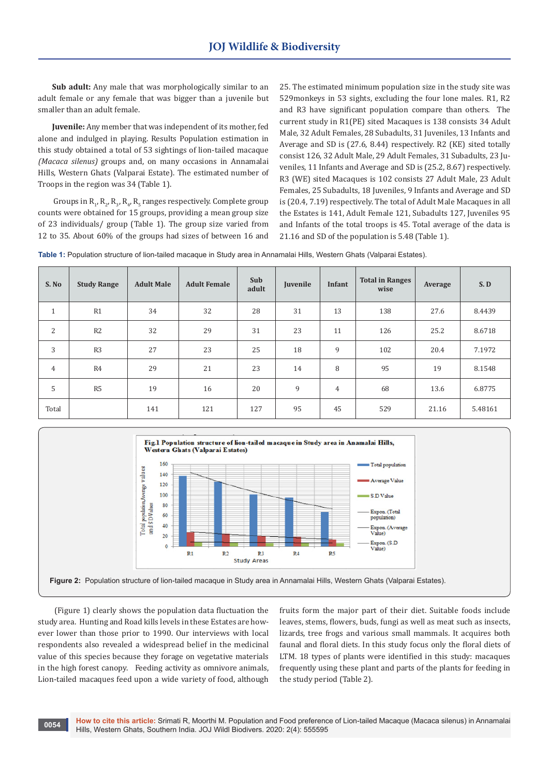**Sub adult:** Any male that was morphologically similar to an adult female or any female that was bigger than a juvenile but smaller than an adult female.

**Juvenile:** Any member that was independent of its mother, fed alone and indulged in playing. Results Population estimation in this study obtained a total of 53 sightings of lion-tailed macaque *(Macaca silenus)* groups and, on many occasions in Annamalai Hills, Western Ghats (Valparai Estate). The estimated number of Troops in the region was 34 (Table 1).

Groups in  $R_1$ ,  $R_2$ ,  $R_3$ ,  $R_4$ ,  $R_5$  ranges respectively. Complete group counts were obtained for 15 groups, providing a mean group size of 23 individuals/ group (Table 1). The group size varied from 12 to 35. About 60% of the groups had sizes of between 16 and

25. The estimated minimum population size in the study site was 529monkeys in 53 sights, excluding the four lone males. R1, R2 and R3 have significant population compare than others. The current study in R1(PE) sited Macaques is 138 consists 34 Adult Male, 32 Adult Females, 28 Subadults, 31 Juveniles, 13 Infants and Average and SD is (27.6, 8.44) respectively. R2 (KE) sited totally consist 126, 32 Adult Male, 29 Adult Females, 31 Subadults, 23 Juveniles, 11 Infants and Average and SD is (25.2, 8.67) respectively. R3 (WE) sited Macaques is 102 consists 27 Adult Male, 23 Adult Females, 25 Subadults, 18 Juveniles, 9 Infants and Average and SD is (20.4, 7.19) respectively. The total of Adult Male Macaques in all the Estates is 141, Adult Female 121, Subadults 127, Juveniles 95 and Infants of the total troops is 45. Total average of the data is 21.16 and SD of the population is 5.48 (Table 1).

|  | Table 1: Population structure of lion-tailed macaque in Study area in Annamalai Hills, Western Ghats (Valparai Estates). |  |
|--|--------------------------------------------------------------------------------------------------------------------------|--|
|--|--------------------------------------------------------------------------------------------------------------------------|--|

| S. No          | <b>Study Range</b> | <b>Adult Male</b> | <b>Adult Female</b> | Sub<br>adult | Juvenile | Infant         | <b>Total in Ranges</b><br>wise | Average | S.D     |
|----------------|--------------------|-------------------|---------------------|--------------|----------|----------------|--------------------------------|---------|---------|
| $\mathbf{1}$   | R1                 | 34                | 32                  | 28           | 31       | 13             | 138                            | 27.6    | 8.4439  |
| $\overline{2}$ | R <sub>2</sub>     | 32                | 29                  | 31           | 23       | 11             | 126                            | 25.2    | 8.6718  |
| 3              | R <sub>3</sub>     | 27                | 23                  | 25           | 18       | 9              | 102                            | 20.4    | 7.1972  |
| $\overline{4}$ | R4                 | 29                | 21                  | 23           | 14       | 8              | 95                             | 19      | 8.1548  |
| 5              | R5                 | 19                | 16                  | 20           | 9        | $\overline{4}$ | 68                             | 13.6    | 6.8775  |
| Total          |                    | 141               | 121                 | 127          | 95       | 45             | 529                            | 21.16   | 5.48161 |



 (Figure 1) clearly shows the population data fluctuation the study area. Hunting and Road kills levels in these Estates are however lower than those prior to 1990. Our interviews with local respondents also revealed a widespread belief in the medicinal value of this species because they forage on vegetative materials in the high forest canopy. Feeding activity as omnivore animals, Lion-tailed macaques feed upon a wide variety of food, although

fruits form the major part of their diet. Suitable foods include leaves, stems, flowers, buds, fungi as well as meat such as insects, lizards, tree frogs and various small mammals. It acquires both faunal and floral diets. In this study focus only the floral diets of LTM. 18 types of plants were identified in this study: macaques frequently using these plant and parts of the plants for feeding in the study period (Table 2).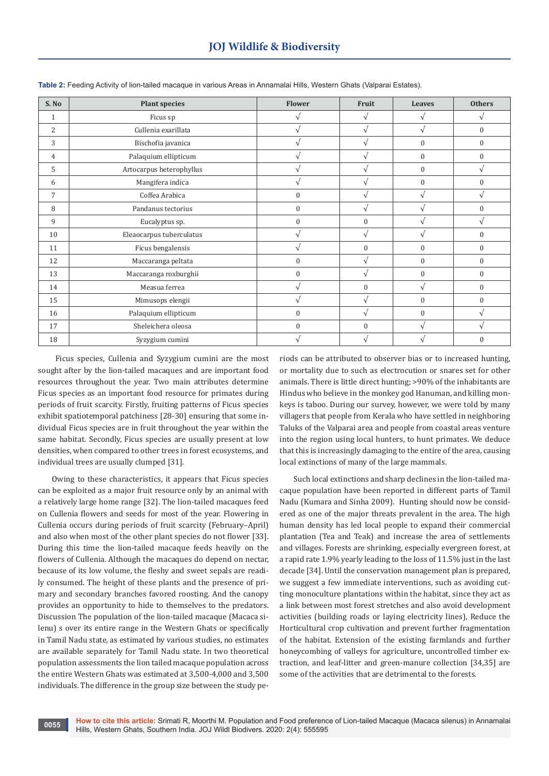| S.No         | <b>Plant species</b>     | <b>Flower</b>    | Fruit        | Leaves        | <b>Others</b>    |
|--------------|--------------------------|------------------|--------------|---------------|------------------|
| $\mathbf{1}$ | Ficus sp                 |                  | $\sqrt{ }$   | $\sqrt{ }$    | V                |
| 2            | Cullenia exarillata      | V                | $\sqrt{ }$   | $\sqrt{ }$    | $\boldsymbol{0}$ |
| 3            | Bischofia javanica       |                  | $\sqrt{ }$   | $\Omega$      | $\mathbf{0}$     |
| 4            | Palaquium ellipticum     |                  | $\sqrt{ }$   | $\Omega$      | $\mathbf{0}$     |
| 5            | Artocarpus heterophyllus |                  | $\sqrt{ }$   | $\mathbf{0}$  | $\sqrt{}$        |
| 6            | Mangifera indica         | $\sqrt{}$        | $\sqrt{ }$   | $\mathbf{0}$  | $\boldsymbol{0}$ |
| 7            | Coffea Arabica           | $\boldsymbol{0}$ | $\sqrt{ }$   | $\sqrt{ }$    | $\sqrt{}$        |
| 8            | Pandanus tectorius       | $\boldsymbol{0}$ | $\sqrt{ }$   | $\mathcal{N}$ | $\mathbf{0}$     |
| 9            | Eucalyptus sp.           | $\boldsymbol{0}$ | $\mathbf{0}$ | $\mathbf{v}$  | $\sqrt{}$        |
| 10           | Eleaocarpus tuberculatus |                  | $\sqrt{ }$   | $\mathbf{v}$  | $\mathbf{0}$     |
| 11           | Ficus bengalensis        | V                | $\bf{0}$     | $\mathbf{0}$  | $\boldsymbol{0}$ |
| 12           | Maccaranga peltata       | $\boldsymbol{0}$ | $\sqrt{ }$   | $\mathbf{0}$  | $\boldsymbol{0}$ |
| 13           | Maccaranga roxburghii    | 0                | $\sqrt{ }$   | $\mathbf{0}$  | $\mathbf{0}$     |
| 14           | Measua ferrea            | V                | $\mathbf{0}$ | $\sqrt{ }$    | $\boldsymbol{0}$ |
| 15           | Mimusops elengii         |                  | $\sqrt{ }$   | $\Omega$      | $\mathbf{0}$     |
| 16           | Palaquium ellipticum     | $\boldsymbol{0}$ | $\sqrt{ }$   | $\Omega$      | $\sqrt{}$        |
| 17           | Sheleichera oleosa       | $\boldsymbol{0}$ | $\mathbf{0}$ | $\sqrt{ }$    | V                |
| 18           | Syzygium cumini          |                  |              |               | $\Omega$         |

**Table 2:** Feeding Activity of lion-tailed macaque in various Areas in Annamalai Hills, Western Ghats (Valparai Estates).

 Ficus species, Cullenia and Syzygium cumini are the most sought after by the lion-tailed macaques and are important food resources throughout the year. Two main attributes determine Ficus species as an important food resource for primates during periods of fruit scarcity. Firstly, fruiting patterns of Ficus species exhibit spatiotemporal patchiness [28-30] ensuring that some individual Ficus species are in fruit throughout the year within the same habitat. Secondly, Ficus species are usually present at low densities, when compared to other trees in forest ecosystems, and individual trees are usually clumped [31].

Owing to these characteristics, it appears that Ficus species can be exploited as a major fruit resource only by an animal with a relatively large home range [32]. The lion-tailed macaques feed on Cullenia flowers and seeds for most of the year. Flowering in Cullenia occurs during periods of fruit scarcity (February–April) and also when most of the other plant species do not flower [33]. During this time the lion-tailed macaque feeds heavily on the flowers of Cullenia. Although the macaques do depend on nectar, because of its low volume, the fleshy and sweet sepals are readily consumed. The height of these plants and the presence of primary and secondary branches favored roosting. And the canopy provides an opportunity to hide to themselves to the predators. Discussion The population of the lion-tailed macaque (Macaca silenu) s over its entire range in the Western Ghats or specifically in Tamil Nadu state, as estimated by various studies, no estimates are available separately for Tamil Nadu state. In two theoretical population assessments the lion tailed macaque population across the entire Western Ghats was estimated at 3,500-4,000 and 3,500 individuals. The difference in the group size between the study pe-

**0055**

riods can be attributed to observer bias or to increased hunting, or mortality due to such as electrocution or snares set for other animals. There is little direct hunting; >90% of the inhabitants are Hindus who believe in the monkey god Hanuman, and killing monkeys is taboo. During our survey, however, we were told by many villagers that people from Kerala who have settled in neighboring Taluks of the Valparai area and people from coastal areas venture into the region using local hunters, to hunt primates. We deduce that this is increasingly damaging to the entire of the area, causing local extinctions of many of the large mammals.

Such local extinctions and sharp declines in the lion-tailed macaque population have been reported in different parts of Tamil Nadu (Kumara and Sinha 2009). Hunting should now be considered as one of the major threats prevalent in the area. The high human density has led local people to expand their commercial plantation (Tea and Teak) and increase the area of settlements and villages. Forests are shrinking, especially evergreen forest, at a rapid rate 1.9% yearly leading to the loss of 11.5% just in the last decade [34]. Until the conservation management plan is prepared, we suggest a few immediate interventions, such as avoiding cutting monoculture plantations within the habitat, since they act as a link between most forest stretches and also avoid development activities (building roads or laying electricity lines), Reduce the Horticultural crop cultivation and prevent further fragmentation of the habitat. Extension of the existing farmlands and further honeycombing of valleys for agriculture, uncontrolled timber extraction, and leaf-litter and green-manure collection [34,35] are some of the activities that are detrimental to the forests.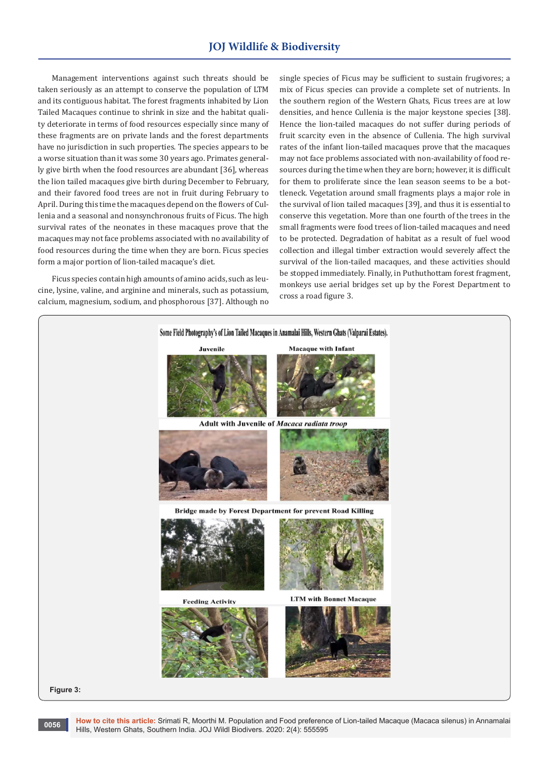# **JOJ Wildlife & Biodiversity**

Management interventions against such threats should be taken seriously as an attempt to conserve the population of LTM and its contiguous habitat. The forest fragments inhabited by Lion Tailed Macaques continue to shrink in size and the habitat quality deteriorate in terms of food resources especially since many of these fragments are on private lands and the forest departments have no jurisdiction in such properties. The species appears to be a worse situation than it was some 30 years ago. Primates generally give birth when the food resources are abundant [36], whereas the lion tailed macaques give birth during December to February, and their favored food trees are not in fruit during February to April. During this time the macaques depend on the flowers of Cullenia and a seasonal and nonsynchronous fruits of Ficus. The high survival rates of the neonates in these macaques prove that the macaques may not face problems associated with no availability of food resources during the time when they are born. Ficus species form a major portion of lion-tailed macaque's diet.

Ficus species contain high amounts of amino acids, such as leucine, lysine, valine, and arginine and minerals, such as potassium, calcium, magnesium, sodium, and phosphorous [37]. Although no

single species of Ficus may be sufficient to sustain frugivores; a mix of Ficus species can provide a complete set of nutrients. In the southern region of the Western Ghats, Ficus trees are at low densities, and hence Cullenia is the major keystone species [38]. Hence the lion-tailed macaques do not suffer during periods of fruit scarcity even in the absence of Cullenia. The high survival rates of the infant lion-tailed macaques prove that the macaques may not face problems associated with non-availability of food resources during the time when they are born; however, it is difficult for them to proliferate since the lean season seems to be a bottleneck. Vegetation around small fragments plays a major role in the survival of lion tailed macaques [39], and thus it is essential to conserve this vegetation. More than one fourth of the trees in the small fragments were food trees of lion-tailed macaques and need to be protected. Degradation of habitat as a result of fuel wood collection and illegal timber extraction would severely affect the survival of the lion-tailed macaques, and these activities should be stopped immediately. Finally, in Puthuthottam forest fragment, monkeys use aerial bridges set up by the Forest Department to cross a road figure 3.





**0056**

**How to cite this article:** Srimati R, Moorthi M. Population and Food preference of Lion-tailed Macaque (Macaca silenus) in Annamalai Hills, Western Ghats, Southern India. JOJ Wildl Biodivers. 2020: 2(4): 555595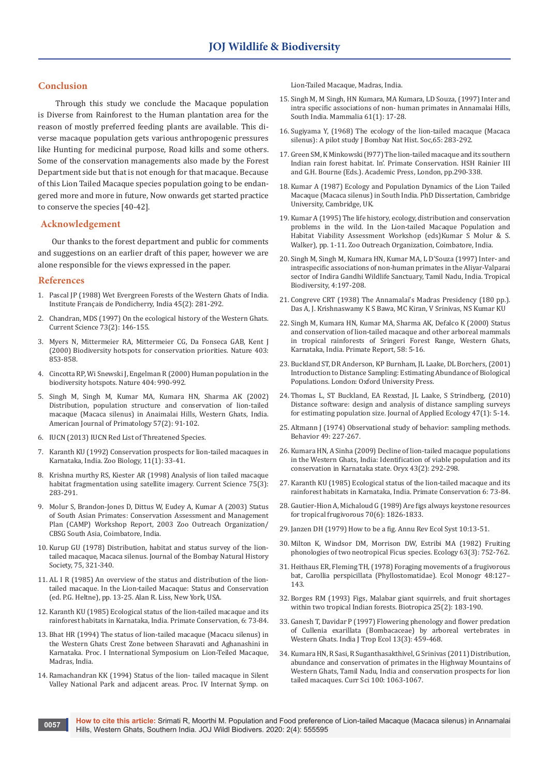## **Conclusion**

 Through this study we conclude the Macaque population is Diverse from Rainforest to the Human plantation area for the reason of mostly preferred feeding plants are available. This diverse macaque population gets various anthropogenic pressures like Hunting for medicinal purpose, Road kills and some others. Some of the conservation managements also made by the Forest Department side but that is not enough for that macaque. Because of this Lion Tailed Macaque species population going to be endangered more and more in future, Now onwards get started practice to conserve the species [40-42].

### **Acknowledgement**

Our thanks to the forest department and public for comments and suggestions on an earlier draft of this paper, however we are alone responsible for the views expressed in the paper.

## **References**

- 1. [Pascal JP \(1988\) Wet Evergreen Forests of the Western Ghats of India.](http://www.tropecol.com/pdf/open/PDF_45_2/45210.pdf)  [Institute Français de Pondicherry, India 45\(2\): 281-292.](http://www.tropecol.com/pdf/open/PDF_45_2/45210.pdf)
- 2. [Chandran, MDS \(1997\) On the ecological history of the Western Ghats.](https://www.jstor.org/stable/24098268?seq=1)  [Current Science 73\(2\): 146-155.](https://www.jstor.org/stable/24098268?seq=1)
- 3. [Myers N, Mittermeier RA, Mittermeier CG, Da Fonseca GAB, Kent J](https://www.nature.com/articles/35002501)  [\(2000\) Biodiversity hotspots for conservation priorities. Nature 403:](https://www.nature.com/articles/35002501)  [853-858.](https://www.nature.com/articles/35002501)
- 4. Cincotta RP, Wi Snewski J, Engelman R (2000) Human population in the biodiversity hotspots. Nature 404: 990-992.
- 5. [Singh M, Singh M, Kumar MA, Kumara HN, Sharma AK \(2002\)](https://onlinelibrary.wiley.com/doi/abs/10.1002/ajp.10037)  [Distribution, population structure and conservation of lion-tailed](https://onlinelibrary.wiley.com/doi/abs/10.1002/ajp.10037)  [macaque \(Macaca silenus\) in Anaimalai Hills, Western Ghats, India.](https://onlinelibrary.wiley.com/doi/abs/10.1002/ajp.10037)  [American Journal of Primatology 57\(2\): 91-102.](https://onlinelibrary.wiley.com/doi/abs/10.1002/ajp.10037)
- 6. [IUCN \(2013\) IUCN Red List of Threatened Species.](http://www.redlist.org)
- 7. [Karanth KU \(1992\) Conservation prospects for lion-tailed macaques in](https://onlinelibrary.wiley.com/doi/abs/10.1002/zoo.1430110105)  [Karnataka, India. Zoo Biology, 11\(1\): 33-41.](https://onlinelibrary.wiley.com/doi/abs/10.1002/zoo.1430110105)
- 8. [Krishna murthy RS, Kiester AR \(1998\) Analysis of lion tailed macaque](https://www.jstor.org/stable/24100962?seq=1)  [habitat fragmentation using satellite imagery. Current Science 75\(3\):](https://www.jstor.org/stable/24100962?seq=1)  [283-291.](https://www.jstor.org/stable/24100962?seq=1)
- 9. Molur S, Brandon-Jones D, Dittus W, Eudey A, Kumar A (2003) Status of South Asian Primates: Conservation Assessment and Management Plan (CAMP) Workshop Report, 2003 Zoo Outreach Organization/ CBSG South Asia, Coimbatore, India.
- 10. Kurup GU (1978) Distribution, habitat and status survey of the liontailed macaque, Macaca silenus. Journal of the Bombay Natural History Society, 75, 321-340.
- 11. AL I R (1985) An overview of the status and distribution of the liontailed macaque. In the Lion-tailed Macaque: Status and Conservation (ed. P.G. Heltne), pp. 13-25. Alan R. Liss, New York, USA.
- 12. [Karanth KU \(1985\) Ecological status of the lion-tailed macaque and its](http://repository.ias.ac.in/89440/)  [rainforest habitats in Karnataka, India. Primate Conservation, 6: 73-84.](http://repository.ias.ac.in/89440/)
- 13. Bhat HR (1994) The status of lion-tailed macaque (Macacu silenus) in the Western Ghats Crest Zone between Sharavati and Aghanashini in Karnataka. Proc. I International Symposium on Lion-Teiled Macaque, Madras, India.
- 14. Ramachandran KK (1994) Status of the lion- tailed macaque in Silent Valley National Park and adjacent areas. Proc. IV Internat Symp. on

Lion-Tailed Macaque, Madras, India.

- 15. [Singh M, M Singh, HN Kumara, MA Kumara, LD Souza, \(1997\) Inter and](https://www.degruyter.com/view/journals/mamm/61/1/article-p17.xml)  [intra specific associations of non- human primates in Annamalai Hills,](https://www.degruyter.com/view/journals/mamm/61/1/article-p17.xml)  [South India. Mammalia 61\(1\): 17-28.](https://www.degruyter.com/view/journals/mamm/61/1/article-p17.xml)
- 16. Sugiyama Y, (1968) The ecology of the lion-tailed macaque (Macaca silenus): A pilot study J Bombay Nat Hist. Soc, 65: 283-292.
- 17. Green SM, K Minkowski (l977) The lion-tailed macaque and its southern Indian rain forest habitat. ln'. Primate Conservation. HSH Rainier III and G.H. Bourne (Eds.). Academic Press, London, pp.290-338.
- 18. Kumar A (1987) Ecology and Population Dynamics of the Lion Tailed Macaque (Macaca silenus) in South India. PhD Dissertation, Cambridge University, Cambridge, UK.
- 19. Kumar A (1995) The life history, ecology, distribution and conservation problems in the wild. In the Lion-tailed Macaque Population and Habitat Viability Assessment Workshop (eds)Kumar S Molur & S. Walker), pp. 1-11. Zoo Outreach Organization, Coimbatore, India.
- 20. Singh M, Singh M, Kumara HN, Kumar MA, L D'Souza (1997) Inter- and intraspecific associations of non-human primates in the Aliyar-Valparai sector of Indira Gandhi Wildlife Sanctuary, Tamil Nadu, India. Tropical Biodiversity, 4:197-208.
- 21. Congreve CRT (1938) The Annamalai's Madras Presidency (180 pp.). Das A, J. Krishnaswamy K S Bawa, MC Kiran, V Srinivas, NS Kumar KU
- 22. Singh M, Kumara HN, Kumar MA, Sharma AK, Defalco K (2000) Status and conservation of lion-tailed macaque and other arboreal mammals in tropical rainforests of Sringeri Forest Range, Western Ghats, Karnataka, India. Primate Report, 58: 5-16.
- 23. Buckland ST, DR Anderson, KP Burnham, JL Laake, DL Borchers, (2001) Introduction to Distance Sampling: Estimating Abundance of Biological Populations. London: Oxford University Press.
- 24. [Thomas L, ST Buckland, EA Rexstad, JL Laake, S Strindberg, \(2010\)](https://pubmed.ncbi.nlm.nih.gov/20383262/)  [Distance software: design and analysis of distance sampling surveys](https://pubmed.ncbi.nlm.nih.gov/20383262/)  [for estimating population size. Journal of Applied Ecology 47\(1\): 5-14.](https://pubmed.ncbi.nlm.nih.gov/20383262/)
- 25. [Altmann J \(1974\) Observational study of behavior: sampling methods.](http://www.uwyo.edu/animalcognition/altmann1974.pdf)  [Behavior 49: 227-267.](http://www.uwyo.edu/animalcognition/altmann1974.pdf)
- 26. [Kumara HN, A Sinha \(2009\) Decline of lion-tailed macaque populations](https://www.rufford.org/files/Oryx,%2043(2),%20292%E2%80%93298.pdf)  [in the Western Ghats, India: Identification of viable population and its](https://www.rufford.org/files/Oryx,%2043(2),%20292%E2%80%93298.pdf)  [conservation in Karnataka state. Oryx 43\(2\): 292-298.](https://www.rufford.org/files/Oryx,%2043(2),%20292%E2%80%93298.pdf)
- 27. [Karanth KU \(1985\) Ecological status of the lion-tailed macaque and its](http://repository.ias.ac.in/89440/)  [rainforest habitats in Karnataka, India. Primate Conservation 6: 73-84.](http://repository.ias.ac.in/89440/)
- 28. [Gautier-Hion A, Michaloud G \(1989\) Are figs always keystone resources](https://www.jstor.org/stable/1938115?seq=1)  [for tropical frugivorous 70\(6\): 1826-1833.](https://www.jstor.org/stable/1938115?seq=1)
- 29. [Janzen DH \(1979\) How to be a fig. Annu Rev Ecol Syst 10:13-51.](https://www.annualreviews.org/doi/abs/10.1146/annurev.es.10.110179.000305)
- 30. [Milton K, Windsor DM, Morrison DW, Estribi MA \(1982\) Fruiting](https://www.jstor.org/stable/1936796?seq=1)  [phonologies of two neotropical Ficus species. Ecology 63\(3\): 752-762.](https://www.jstor.org/stable/1936796?seq=1)
- 31. [Heithaus ER, Fleming TH, \(1978\) Foraging movements of a frugivorous](https://esajournals.onlinelibrary.wiley.com/doi/abs/10.2307/2937296)  [bat, Carollia perspicillata \(Phyllostomatidae\). Ecol Monogr 48:127–](https://esajournals.onlinelibrary.wiley.com/doi/abs/10.2307/2937296) [143.](https://esajournals.onlinelibrary.wiley.com/doi/abs/10.2307/2937296)
- 32. [Borges RM \(1993\) Figs, Malabar giant squirrels, and fruit shortages](https://www.jstor.org/stable/2389182?seq=1)  [within two tropical Indian forests. Biotropica 25\(2\): 183-190.](https://www.jstor.org/stable/2389182?seq=1)
- 33. [Ganesh T, Davidar P \(1997\) Flowering phenology and flower predation](https://www.jstor.org/stable/2560295?seq=1)  [of Cullenia exarillata \(Bombacaceae\) by arboreal vertebrates in](https://www.jstor.org/stable/2560295?seq=1)  [Western Ghats. India J Trop Ecol 13\(3\): 459-468.](https://www.jstor.org/stable/2560295?seq=1)
- 34. [Kumara HN, R Sasi, R Suganthasakthivel, G Srinivas \(2011\) Distribution,](https://www.jstor.org/stable/24076525?seq=1)  [abundance and conservation of primates in the Highway Mountains of](https://www.jstor.org/stable/24076525?seq=1)  [Western Ghats, Tamil Nadu, India and conservation prospects for lion](https://www.jstor.org/stable/24076525?seq=1)  [tailed macaques. Curr Sci 100: 1063-1067.](https://www.jstor.org/stable/24076525?seq=1)